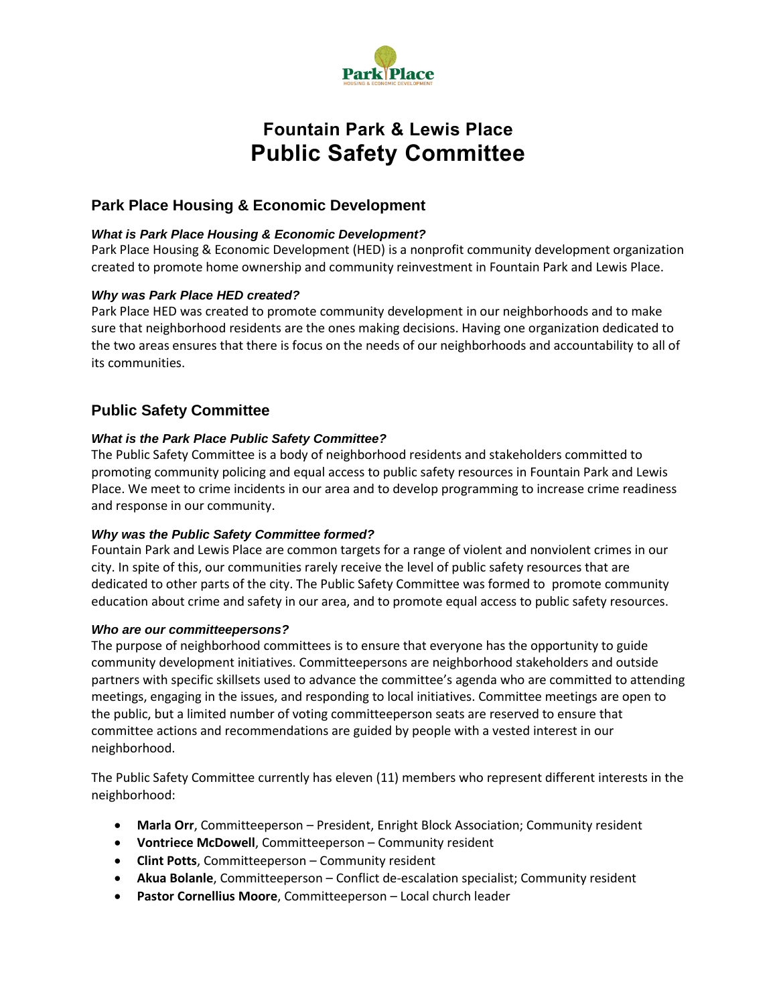

# **Fountain Park & Lewis Place Public Safety Committee**

# **Park Place Housing & Economic Development**

## *What is Park Place Housing & Economic Development?*

Park Place Housing & Economic Development (HED) is a nonprofit community development organization created to promote home ownership and community reinvestment in Fountain Park and Lewis Place.

## *Why was Park Place HED created?*

Park Place HED was created to promote community development in our neighborhoods and to make sure that neighborhood residents are the ones making decisions. Having one organization dedicated to the two areas ensures that there is focus on the needs of our neighborhoods and accountability to all of its communities.

## **Public Safety Committee**

## *What is the Park Place Public Safety Committee?*

The Public Safety Committee is a body of neighborhood residents and stakeholders committed to promoting community policing and equal access to public safety resources in Fountain Park and Lewis Place. We meet to crime incidents in our area and to develop programming to increase crime readiness and response in our community.

## *Why was the Public Safety Committee formed?*

Fountain Park and Lewis Place are common targets for a range of violent and nonviolent crimes in our city. In spite of this, our communities rarely receive the level of public safety resources that are dedicated to other parts of the city. The Public Safety Committee was formed to promote community education about crime and safety in our area, and to promote equal access to public safety resources.

#### *Who are our committeepersons?*

The purpose of neighborhood committees is to ensure that everyone has the opportunity to guide community development initiatives. Committeepersons are neighborhood stakeholders and outside partners with specific skillsets used to advance the committee's agenda who are committed to attending meetings, engaging in the issues, and responding to local initiatives. Committee meetings are open to the public, but a limited number of voting committeeperson seats are reserved to ensure that committee actions and recommendations are guided by people with a vested interest in our neighborhood.

The Public Safety Committee currently has eleven (11) members who represent different interests in the neighborhood:

- **Marla Orr**, Committeeperson President, Enright Block Association; Community resident
- **Vontriece McDowell**, Committeeperson Community resident
- **Clint Potts**, Committeeperson Community resident
- **Akua Bolanle**, Committeeperson Conflict de-escalation specialist; Community resident
- **Pastor Cornellius Moore**, Committeeperson Local church leader